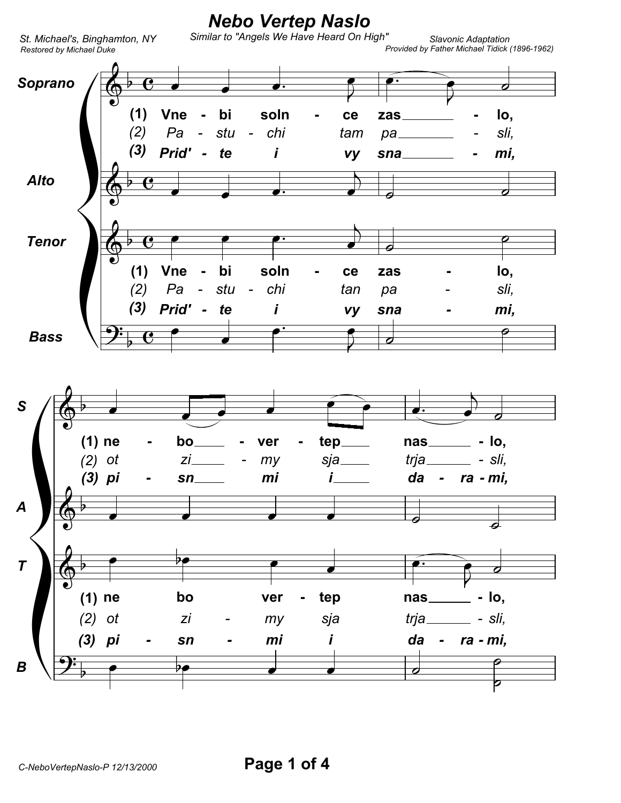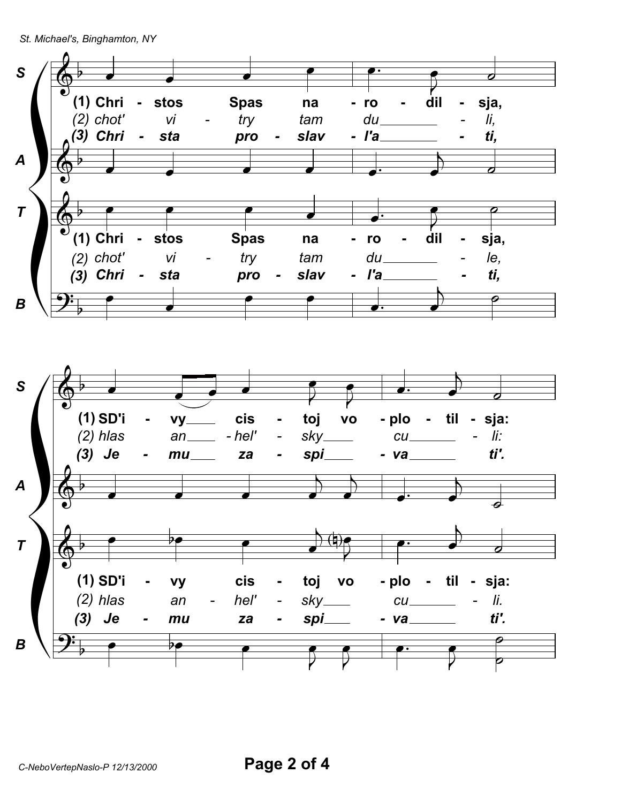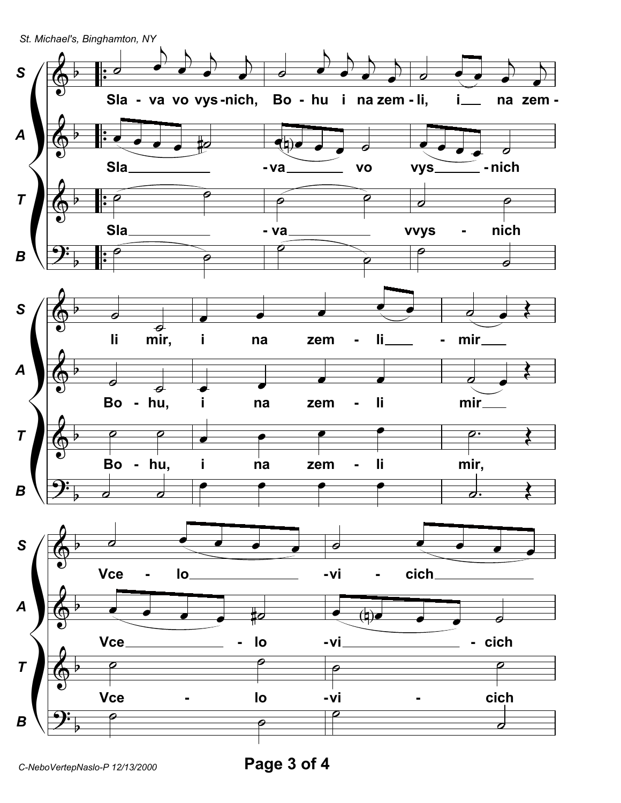*St. Michael's, Binghamton, NY*